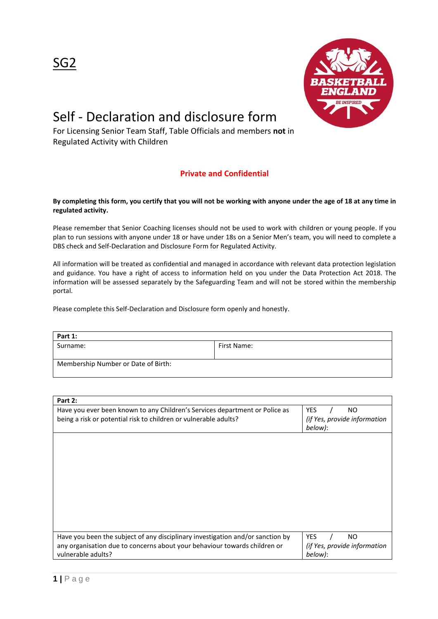

## Self - Declaration and disclosure form

For Licensing Senior Team Staff, Table Officials and members **not** in Regulated Activity with Children

## **Private and Confidential**

## **By completing this form, you certify that you will not be working with anyone under the age of 18 at any time in regulated activity.**

Please remember that Senior Coaching licenses should not be used to work with children or young people. If you plan to run sessions with anyone under 18 or have under 18s on a Senior Men's team, you will need to complete a DBS check and Self-Declaration and Disclosure Form for Regulated Activity.

All information will be treated as confidential and managed in accordance with relevant data protection legislation and guidance. You have a right of access to information held on you under the Data Protection Act 2018. The information will be assessed separately by the Safeguarding Team and will not be stored within the membership portal.

Please complete this Self-Declaration and Disclosure form openly and honestly.

| Part 1:                             |             |  |
|-------------------------------------|-------------|--|
| Surname:                            | First Name: |  |
| Membership Number or Date of Birth: |             |  |

| Part 2:                                                                        |                                         |
|--------------------------------------------------------------------------------|-----------------------------------------|
| Have you ever been known to any Children's Services department or Police as    | <b>YES</b><br>NO.                       |
| being a risk or potential risk to children or vulnerable adults?               | (if Yes, provide information<br>below): |
|                                                                                |                                         |
|                                                                                |                                         |
|                                                                                |                                         |
|                                                                                |                                         |
|                                                                                |                                         |
|                                                                                |                                         |
|                                                                                |                                         |
| Have you been the subject of any disciplinary investigation and/or sanction by | <b>YES</b><br>NO.                       |
| any organisation due to concerns about your behaviour towards children or      | (if Yes, provide information            |
| vulnerable adults?                                                             | below):                                 |